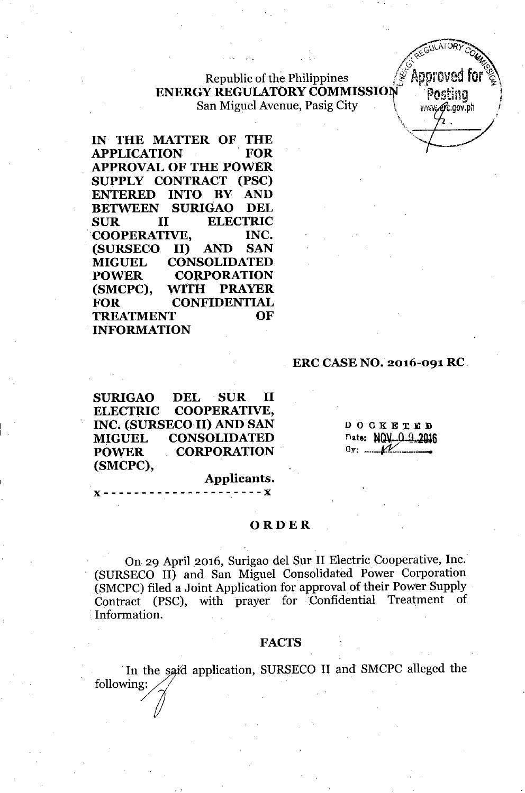# Republic of the Philippines  $\ell^{\mathscr{L}}$  Approved ENERGY REGULATORY COMMISSION . Posting San Miguel Avenue, Pasig City Virwell, www.ext.gov.ph

IN THE MATTER OF THE APPLICATION . FOR APPROVAL OF THE POWER SUPPLY CONTRACT (PSC) ENTERED INTO BY AND BETWEEN SURIGAO DEL SUR **II** ELECTRIC .COOPERATIVE, INC. (SURSECO II) AND SAN MIGUEL CONSOLIDATED POWER CORPORATION (SMCPC), WITH PRAYER FOR CONFIDENTIAL TREATMENT OF INFORMATION

### ERC CASE NO. 2016-091 RC.

*. I~S;~* ~p

., "

*<u><i>AEGULATORY COMEX*</u>

 $\sim$  .,  $\,$  .,  $\,$  .,  $\,$  .,  $\,$  .,  $\,$  .,  $\,$  .,  $\,$  .,  $\,$  .,  $\,$  .,  $\,$  .,  $\,$  .,  $\,$  .,  $\,$  .,  $\,$  .,  $\,$  .,  $\,$  .,  $\,$  .,  $\,$  .,  $\,$  .,  $\,$  .,  $\,$  .,  $\,$  .,  $\,$  .,  $\,$  .,  $\,$  .,  $\,$  .,  $\,$ 

SURIGAO DEL SUR II ELECTRIC COOPERATIVE, INC. (SURSECO II) AND SAN MIGUEL CONSOLIDATED POWER CORPORATION (SMCPC),

I I. O CKETED nate: NOV...O..9.2016  $8y: \mathcal{N}$ 

#### Applicants. )( - - - - - - - - - - - - - - - - - - - - - )(

### ORDER

On 29 April 2016, Surigao del Sur II Electric Cooperative, Inc. (SURSECO II) and San Miguel Consolidated Power Corporation (SMCPC) filed a Joint Application for approval of their Power Supply Contract (PSC), with prayer for Confidential Treatment of Information.

### FACTS

In the said application, SURSECO II and SMCPC alleged the following: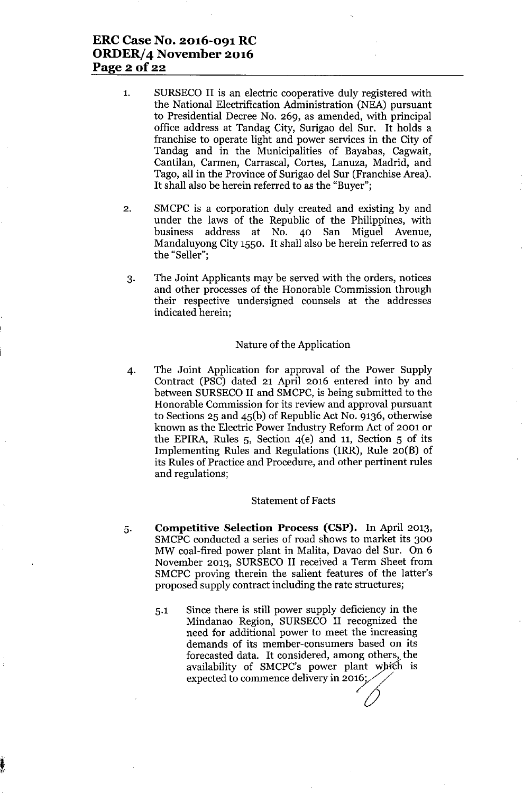# **ERCCase No. 2016-091 RC ORDER/4 November 2016 Page 2 of 22**

- 1. SURSECO II is an electric cooperative duly registered with the National Electrification Administration (NEA) pursuant to Presidential Decree No. 269, as amended, with principal office address at Tandag City, Surigao del Sur. It holds a franchise to operate light and power services in the City of Tandag and in the Municipalities of Bayabas, Cagwait, Cantilan, Carmen, Carrascal, Cortes, Lanuza, Madrid, and Tago, all in the Province of Surigao del Sur (Franchise Area). It shall also be herein referred to as the "Buyer";
- 2. SMCPC is a corporation duly created and existing by and under the laws of the Republic of the Philippines, with business address at No. 40 San Miguel Avenue, Mandaluyong City 1550. It shall also be herein referred to as the "Seller";
- 3. The Joint Applicants may be served with the orders, notices and other processes of the Honorable Commission through their respective undersigned counsels at the addresses indicated herein;

#### Nature of the Application

4. The Joint Application for approval of the Power Supply Contract (PSC) dated 21 April 2016 entered into by and between SURSECO II and SMCPC, is being submitted to the Honorable Commission for its review and approval pursuant to Sections 25 and 45(b) of Republic Act No. 9136, otherwise known as the Electric Power Industry Reform Act of 2001 or the EPIRA, Rules 5, Section 4(e) and 11, Section 5 of its Implementing Rules and Regulations (IRR), Rule 20(B) of its Rules of Practice and Procedure, and other pertinent rules and regulations;

#### Statement of Facts

- 5. **Competitive Selection Process (CSP).** In April 2013, SMCPC conducted a series of road shows to market its 300 MW coal-fired power plant in Malita, Davao del Sur. On 6 November 2013, SURSECO II received a Term Sheet from SMCPC proving therein the salient features of the latter's proposed supply contract including the rate structures;
	- 5.1 Since there is still power supply deficiency in the Mindanao Region, SURSECO II recognized the need for additional power to meet the increasing demands of its member-consumers based on its forecasted data. It considered, among others, the availability of SMCPC's power plant which is expected to commence delivery in  $2016$ ;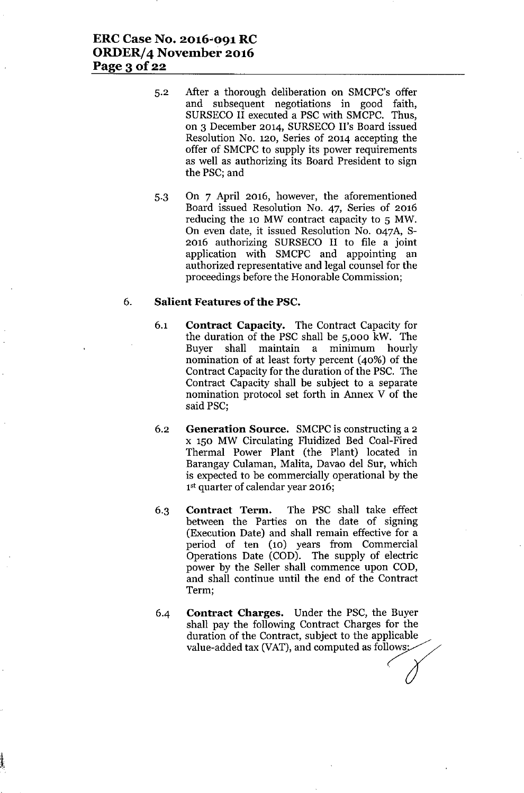- 5.2 After a thorough deliberation on SMCPC's offer and subsequent negotiations in good faith, SURSECO II executed a PSC with SMCPC. Thus, on 3 December 2014, SURSECO II's Board issued Resolution No. 120, Series of 2014 accepting the offer of SMCPC to supply its power requirements as well as authorizing its Board President to sign the PSC; and
- 5.3 On 7 April 2016, however, the aforementioned Board issued Resolution No. 47, Series of 2016 reducing the 10 MW contract capacity to 5 MW. On even date, it issued Resolution No. 047A, S-2016 authorizing SURSECO II to file a joint application with SMCPC and appointing an authorized representative and legal counsel for the proceedings before the Honorable Commission;

#### 6. **Salient Features** of the **PSC.**

- 6.1 **Contract Capacity.** The Contract Capacity for the duration of the PSC shall be 5,000 kW. The Buyer shall maintain a minimum hourly nomination of at least forty percent (40%) of the Contract Capacity for the duration of the PSC. The Contract Capacity shall be subject to a separate nomination protocol set forth in Annex V of the said PSC;
- 6.2 **Generation Source.** SMCPCis constructing a 2 x 150 MW Circulating Fluidized Bed Coal-Fired Thermal Power Plant (the Plant) located in Barangay Culaman, Malita, Davao del Sur, which is expected to be commercially operational by the 1<sup>st</sup> quarter of calendar year 2016;
- 6.3 **Contract Term.** The PSC shall take effect between the Parties on the date of signing (Execution Date) and shall remain effective for a period of ten (10) years from Commercial Operations Date (COD). The supply of electric power by the Seller shall commence upon COD, and shall continue until the end of the Contract Term;
- 6.4 **Contract Charges.** Under the PSC, the Buyer shall pay the following Contract Charges for the duration of the Contract, subject to the applicable value-added tax (VAT), and computed as follows.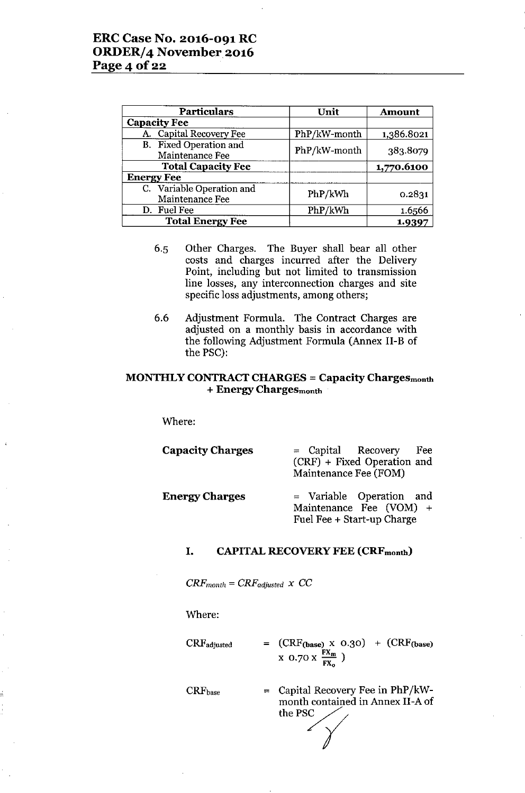| <b>Particulars</b>                           | Unit         | <b>Amount</b> |
|----------------------------------------------|--------------|---------------|
| <b>Capacity Fee</b>                          |              |               |
| A. Capital Recovery Fee                      | PhP/kW-month | 1,386.8021    |
| B. Fixed Operation and<br>Maintenance Fee    | PhP/kW-month | 383.8079      |
| <b>Total Capacity Fee</b>                    |              | 1,770.6100    |
| <b>Energy Fee</b>                            |              |               |
| C. Variable Operation and<br>Maintenance Fee | PhP/kWh      | 0.2831        |
| D. Fuel Fee                                  | PhP/kWh      | 1.6566        |
| <b>Total Energy Fee</b>                      |              | 1.9397        |

- 6.5 Other Charges. The Buyer shall bear all other costs and charges incurred after the Delivery Point, including but not limited to transmission line losses, any interconnection charges and site specific loss adjustments, among others;
- 6.6 Adjustment Formula. The Contract Charges are adjusted on a monthly basis in accordance with the following Adjustment Formula (Annex II-B of the PSC):

### MONTHLY CONTRACT CHARGES = Capacity Chargesmonth + Energy Chargesmonth

Where:

| <b>Capacity Charges</b> | = Capital Recovery<br>Fee<br>(CRF) + Fixed Operation and<br>Maintenance Fee (FOM)   |
|-------------------------|-------------------------------------------------------------------------------------|
| <b>Energy Charges</b>   | $=$ Variable Operation and<br>Maintenance Fee (VOM) +<br>Fuel Fee + Start-up Charge |

#### I. CAPITAL RECOVERY FEE (CRFmonth)

 $CRF_{month} = CRF_{adjusted} \times CC$ 

Where:

CRFadjusted  $=$   $(CRF_{\text{(base)}} \times 0.30) + (CRF_{\text{(base)}})$  $\rm{x}$  0.70  $\rm{x}$   $\frac{FX_m}{FX_o}$  )

CRFbase

= Capital Recovery Fee in PhP/kWmonth contained in Annex II-A of the PSC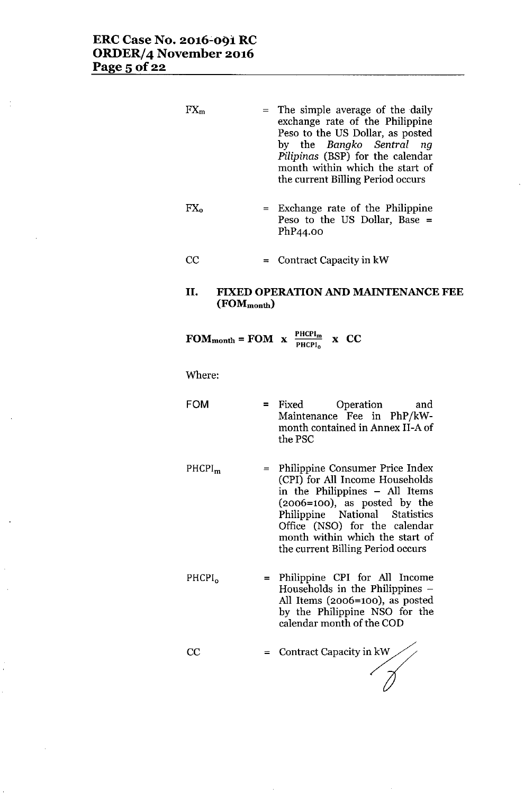$\ddot{\cdot}$ 

| $FX_m$             |                                             | $=$ | The simple average of the daily<br>exchange rate of the Philippine<br>Peso to the US Dollar, as posted<br>by the Bangko Sentral<br>nq<br>Pilipinas (BSP) for the calendar<br>month within which the start of<br>the current Billing Period occurs                                  |
|--------------------|---------------------------------------------|-----|------------------------------------------------------------------------------------------------------------------------------------------------------------------------------------------------------------------------------------------------------------------------------------|
| $FX_{o}$           |                                             |     | = Exchange rate of the Philippine<br>Peso to the US Dollar, Base =<br>PhP44.00                                                                                                                                                                                                     |
| $\rm CC$           |                                             |     | $=$ Contract Capacity in kW                                                                                                                                                                                                                                                        |
| П.                 | $(FORM_{month})$                            |     | <b>FIXED OPERATION AND MAINTENANCE FEE</b>                                                                                                                                                                                                                                         |
|                    | FOM <sub>month</sub> = FOM $x = P_{HCPI_0}$ |     | x CC                                                                                                                                                                                                                                                                               |
| Where:             |                                             |     |                                                                                                                                                                                                                                                                                    |
| FOM                |                                             |     | $=$ Fixed<br>Operation<br>and<br>Maintenance Fee in PhP/kW-<br>month contained in Annex II-A of<br>the PSC                                                                                                                                                                         |
| PHCPI <sub>m</sub> |                                             | $=$ | Philippine Consumer Price Index<br>(CPI) for All Income Households<br>in the Philippines - All Items<br>$(2006=100)$ , as posted by the<br>Philippine National Statistics<br>Office (NSO) for the calendar<br>month within which the start of<br>the current Billing Period occurs |

PHCPI<sub>o</sub> = Philippine CPI for All Income Households in the Philippines - All Items (2006=100), as posted by the Philippine NSO for the calendar month of the COD

= Contract Capacity in  $kW$ CC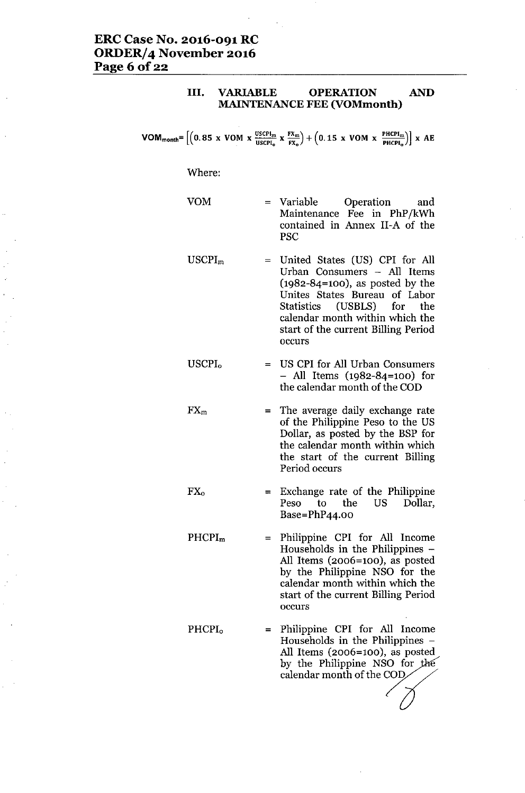### III. VARIABLE OPERATION AND MAINTENANCE FEE (VOMmonth)

 $VOM_{month} = \left[ \left( 0.85 \times VOM \times \frac{USCH_m}{USCH_0} \times \frac{FX_m}{FX_0} \right) + \left( 0.15 \times VOM \times \frac{PHCH_m}{PHCH_0} \right) \right] \times AE$ 

#### Where:

VOM

FX<sup>o</sup>

- = Variable Operation and Maintenance Fee in PhP/kWh contained in Annex II-A of the PSC
- USCPI<sup>m</sup> = United States (US) CPI for All Urban Consumers - All Items (1982-84=100), as posted by the Unites States Bureau of Labor Statistics (USBLS) for the calendar month within which the start of the current Billing Period occurs
- USCPI<sub>0</sub> = US CPI for All Urban Consumers - All Items (1982-84=100) for the calendar month of the COD
- $FX_m$ = The average daily exchange rate of the Philippine Peso to the US Dollar, as posted by the BSP for the calendar month within which the start of the current Billing Period occurs
	- = Exchange rate of the Philippine Peso to the US Dollar, Base=PhP44.00
- PHCPI<sup>m</sup> = Philippine CPI for All Income Households in the Philippines -All Items (2006=100), as posted by the Philippine NSO for the calendar month within which the start of the current Billing Period occurs
- PHCPI<sub>0</sub> = Philippine CPI for All Income Households in the Philippines  $-$ All Items (2006=100), as posted by the Philippine NSO for the calendar month of the COD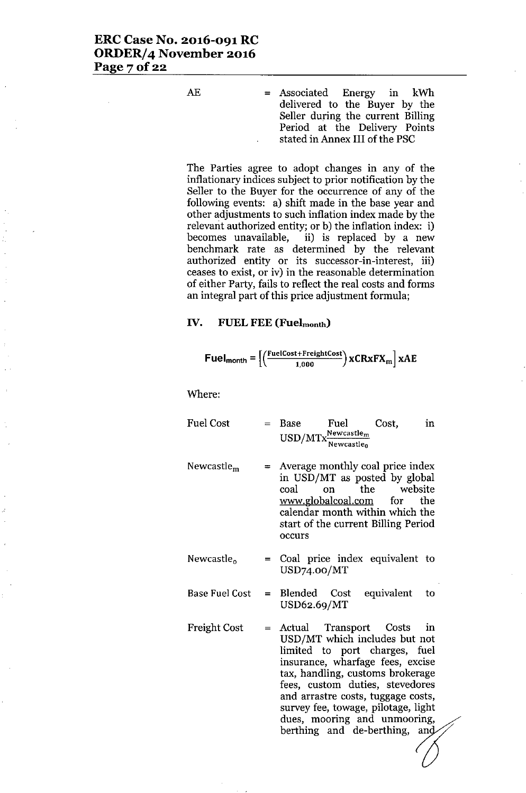AE = Associated Energy in kWh delivered to the Buyer by the Seller during the current Billing Period at the Delivery Points stated in Annex III of the PSC

The Parties agree to adopt changes in any of the inflationary indices subject to prior notification by the Seller to the Buyer for the occurrence of any of the following events: a) shift made in the base year and other adjustments to such inflation index made by the relevant authorized entity; or b) the inflation index: i) becomes unavailable, ii) is replaced by a new benchmark rate as determined by the relevant authorized entity or its successor-in-interest, iii) ceases to exist, or iv) in the reasonable determination of either Party, fails to reflect the real costs and forms an integral part of this price adjustment formula;

#### **IV. FUEL FEE (Fuelmonth)**

$$
Full_{month} = \left[ \left( \frac{FuelCost + FreightCost}{1,000} \right) xCRxFX_m \right] xAE
$$

Where:

- $Fuel Cost = Base \tFuel \tCost,$  $USD/MTx \frac{Newton \\math>$ **Newcastleo** in
- Newcastle<sup>m</sup> = Average monthly coal price index in USD/MT as posted by global coal on the website [www.globalcoaLcom](http://www.globalcoaLcom) for the calendar month within which the start of the current Billing Period occurs
- Newcastle<sub>o</sub> = Coal price index equivalent to USD74.oo/MT
- Base Fuel Cost = Blended  $Cost$  equivalent to USD62.69/MT
- Freight Cost = Actual Transport Costs in USD/MT which includes but not limited to port charges, fuel insurance, wharfage fees, excise tax, handling, customs brokerage fees, custom duties, stevedores and arrastre costs, tuggage costs, survey fee, towage, pilotage, light dues, mooring and unmooring, berthing and de-berthing, and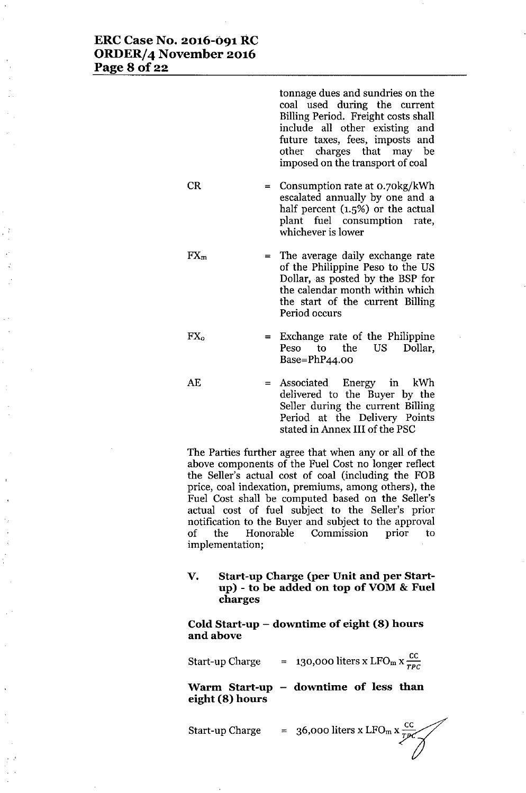# **ERC Case No. 2016-091 RC ORDER/4 November 2016 Page 8 of 22**

tonnage dues and sundries on the coal used during the current Billing Period. Freight costs shall include all other existing and future taxes, fees, imposts and other charges that may be imposed on the transport of coal CR  $FX<sub>m</sub>$ = Consumption rate at 0.70kg/kWh escalated annually by one and a half percent (1.5%) or the actual plant fuel consumption rate, whichever is lower = The average daily exchange rate of the Philippine Peso to the US Dollar, as posted by the BSP for the calendar month within which the start of the current Billing Period occurs

- FXo Exchange rate of the Philippine Peso to the US Dollar, Base=PhP44.00
- AE = Associated Energy in kWh delivered to the Buyer by the Seller during the current Billing Period at the Delivery Points stated in Annex III of the PSC

The Parties further agree that when any or all of the above components of the Fuel Cost no longer reflect the Seller's actual cost of coal (including the FOB price, coal indexation, premiums, among others), the Fuel Cost shall be computed based on the Seller's actual cost of fuel subject to the Seller's prior notification to the Buyer and subject to the approval of the Honorable Commission prior to implementation;

**V. Start-up Charge (per Unit and per Startup) - to be added on top of YOM& Fuel charges**

**Cold Start-up - downtime of eight (8) hours** and above

Start-up Charge  $= 130,000$  liters x LFO<sub>m</sub> x  $\frac{cc}{TBC}$ 

**Warm Start-up - downtime of less than eight (8) hours**

Start-up Charge = 36,000 liters x LFO<sub>m</sub> x  $\frac{36}{\sqrt{PC}}$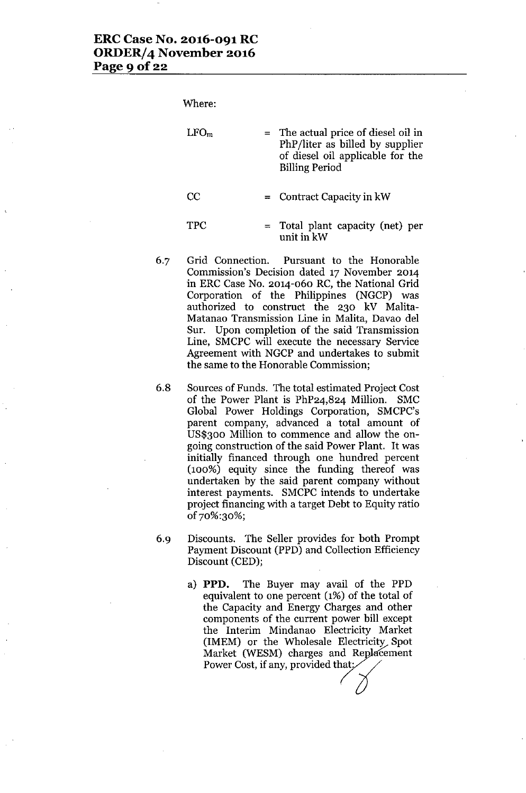Where:

| LFO <sub>m</sub> | $=$ The actual price of diesel oil in<br>PhP/liter as billed by supplier<br>of diesel oil applicable for the<br><b>Billing Period</b> |
|------------------|---------------------------------------------------------------------------------------------------------------------------------------|
| CC               | $=$ Contract Capacity in kW                                                                                                           |
| <b>TPC</b>       | $=$ Total plant capacity (net) per<br>unit in kW                                                                                      |

- 6.7 Grid Connection. Pursuant to the Honorable Commission's Decision dated 17 November 2014 in ERC Case No. 2014-060 RC, the National Grid Corporation of the Philippines (NGCP) was authorized to construct the 230 kV Malita-Matanao Transmission Line in Malita, Davao del Sur. Upon completion of the said Transmission Line, SMCPC will execute the necessary Service Agreement with NGCP and undertakes to submit the same to the Honorable Commission;
- 6.8 Sources of Funds. The total estimated Project Cost of the Power Plant is PhP24,824 Million. SMC Global Power Holdings Corporation, SMCPC's parent company, advanced a total amount of US\$300 Million to commence and allow the ongoing construction of the said Power Plant. It was initially financed through one hundred percent (100%) equity since the funding thereof was undertaken by the said parent company without interest payments. SMCPC intends to undertake project financing with a target Debt to Equity ratio of70%:30%;
- 6.9 Discounts. The Seller provides for both Prompt Payment Discount (PPD) and Collection Efficiency Discount (CED);
	- a) **PPD.** The Buyer may avail of the PPD equivalent to one percent (1%) of the total of the Capacity and Energy Charges and other components of the current power bill except the Interim Mindanao Electricity Market (IMEM) or the Wholesale Electricity Spot Market (WESM) charges and Replacement Power Cost, if any, provided that: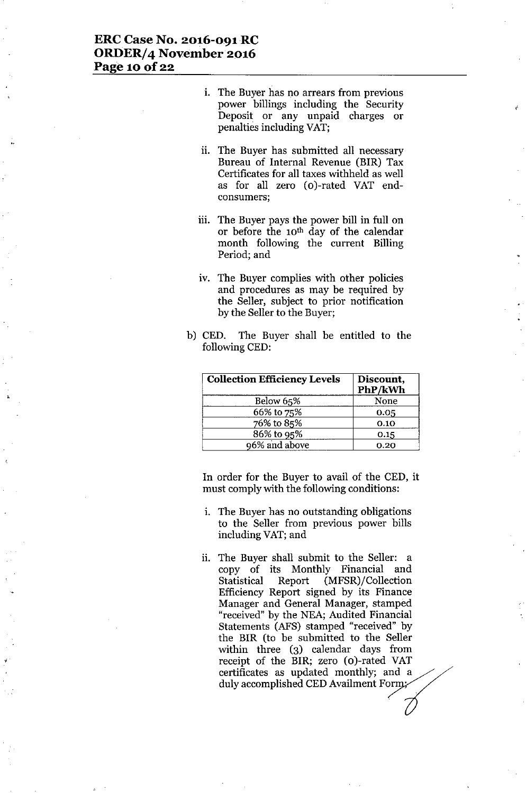# ERC Case No. 2016-091RC ORDER/4 November 2016 Page 10 of 22

1. The Buyer has no arrears from previous power billings including the Security Deposit or any unpaid charges or penalties including VAT;

,<br>Ք<sup>ն</sup>

- ii. The Buyer has submitted all necessary Bureau of Internal Revenue (BIR) Tax Certificates for all taxes withheld as well as for all zero (o)-rated VAT endconsumers;
- iii. The Buyer pays the power bill in full on or before the 10th day of the calendar month following the current Billing Period; and
- iv. The Buyer complies with other policies and procedures as may be requited by the Seller, subject to prior notification by the Seller to the Buyer;
- b) CED. The Buyer shall be entitled to the following CED:

| <b>Collection Efficiency Levels</b> | Discount,<br>PhP/kWh |
|-------------------------------------|----------------------|
| Below 65%                           | None                 |
| 66% to 75%                          | 0.05                 |
| 76% to 85%                          | 0.10                 |
| 86% to 95%                          | 0.15                 |
| 96% and above                       | 0.20                 |

In order for the Buyer to avail of the CED, it must comply with the following conditions:

- i. The Buyer has no outstanding obligations to the Seller from previous power bills including VAT;and
- ii. The Buyer shall submit to the Seller: a copy of its Monthly Financial and Statistical Report (MFSR)/Collection Efficiency Report signed by its Finance Manager and General Manager, stamped "received" by the NEA; Audited Financial Statements (AFS) stamped "received" by the BIR (to be submitted to the Seller within three (3) calendar days from receipt of the BIR; zero (o)-rated VAT certificates as updated monthly; and a<br>duly accomplished CED Availment Form;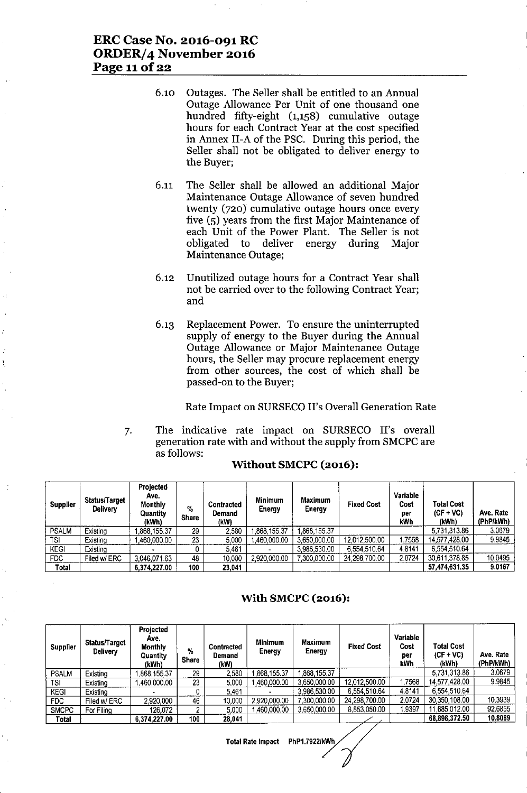- 6.10 Outages. The Seller shall be entitled to an Annual Outage Allowance Per Unit of one thousand one hundred fifty-eight (1,158) cumulative outage hours for each Contract Year at the cost specified in Annex II-A of the PSC. During this period, the Seller shall not be obligated to deliver energy to the Buyer;
- 6.11 The Seller shall be allowed an additional Major Maintenance Outage Allowance of seven hundred twenty (720) cumulative outage hours once every five (5) years from the first Major Maintenance of each Unit of the Power Plant. The Seller is not obligated to deliver energy during Major Maintenance Outage;
- 6.12 Unutilized outage hours for a Contract Year shall not be carried over to the following Contract Year; and
- 6.13 Replacement Power. To ensure the uninterrupted supply of energy to the Buyer during the Annual Outage Allowance or Major Maintenance Outage hours, the Seller may procure replacement energy from other sources, the cost of which shall be passed-on to the Buyer;

Rate Impact on SURSECO II's Overall Generation Rate

7. The indicative rate impact on SURSECO II's overall generation rate with and without the supply from SMCPCare as follows:

| <b>Supplier</b> | <b>Status/Target</b><br><b>Delivery</b> | <b>Projected</b><br>Ave.<br><b>Monthly</b><br>Quantity<br>(kWh) | %<br><b>Share</b> | <b>Contracted</b><br>Demand<br>(kW) | <b>Minimum</b><br>Energy | <b>Maximum</b><br>Energy | <b>Fixed Cost</b> | Variable<br>Cost<br>per<br>kWh | <b>Total Cost</b><br>$(CF + VC)$<br>(kWh) | Ave. Rate<br>(PhP/kWh) |
|-----------------|-----------------------------------------|-----------------------------------------------------------------|-------------------|-------------------------------------|--------------------------|--------------------------|-------------------|--------------------------------|-------------------------------------------|------------------------|
| <b>PSALM</b>    | Existing                                | 868,155.37                                                      | 29                | 2,580                               | 868,155.37               | 868,155.37               |                   |                                | 5.731.313.86                              | 3.0679                 |
| TSI             | Existing                                | 460,000.00                                                      | 23                | 5.000                               | 460,000.00               | 3.650,000.00             | 12,012,500.00     | .7568                          | 14,577,428.00                             | 9.9845                 |
| KEGI            | Existing                                |                                                                 |                   | 5.461                               |                          | 3.986,530.00             | 6,554,510.64      | 4.8141                         | 6,554,510.64                              |                        |
| FDC.            | Filed w/ ERC                            | 3 046 071 63                                                    | 48                | 10,000                              | 2,920,000.00             | 7 300,000.00             | 24.298.700.00     | 2.0724                         | 30,611,378.85                             | 10.0495                |
| Total           |                                         | 6.374.227.00                                                    | 100               | 23.041                              |                          |                          |                   |                                | 57,474,631.35                             | 9.0167                 |

### Without SMCPC (2016):

### With SMCPC (2016):

| <b>Supplier</b> | Status/Target<br><b>Delivery</b> | Projected<br>Ave.<br><b>Monthly</b><br>Quantity<br>(kWh) | %<br><b>Share</b> | <b>Contracted</b><br>Demand<br>(kW) | Minimum<br>Energy | <b>Maximum</b><br>Energy | <b>Fixed Cost</b> | Variable<br>Cost<br>per<br>kWh | <b>Total Cost</b><br>$(CF + VC)$<br>(kWh) | Ave. Rate<br>(PhP/kWh) |
|-----------------|----------------------------------|----------------------------------------------------------|-------------------|-------------------------------------|-------------------|--------------------------|-------------------|--------------------------------|-------------------------------------------|------------------------|
| <b>PSALM</b>    | Existing                         | 868,155.37                                               | 29                | 2,580                               | 868,155.37        | 868,155.37               |                   |                                | 5.731.313.86                              | 3.0679                 |
| TSI             | Existing                         | 460.000.00                                               | 23                | 5.000                               | 460,000.00        | 3.650.000.00             | 12,012,500.00     | 7568                           | 14.577.428.00                             | 9.9845                 |
| <b>KEGI</b>     | Existing                         |                                                          | ٥                 | 5.461                               |                   | 3.986.530.00             | 6.554 510.64      | 4.8141                         | 6.554.510.64                              |                        |
| FDC.            | Filed w/ ERC                     | 2,920,000                                                | 46                | 10,000                              | 2,920,000.00      | 7.300.000.00             | 24,298,700.00     | 2.0724                         | 30,350,108.00                             | 10 39 39               |
| <b>SMCPC</b>    | For Filing                       | 126.072                                                  | o                 | 5.000                               | 1.460.000.00      | 3.650,000.00             | 8,853,050.00      | 1.9397                         | 11.685.012.00                             | 92.6855                |
| Total           |                                  | 6.374,227.00                                             | 100               | 28.041                              |                   |                          |                   |                                | 68,898,372.50                             | 10.8089                |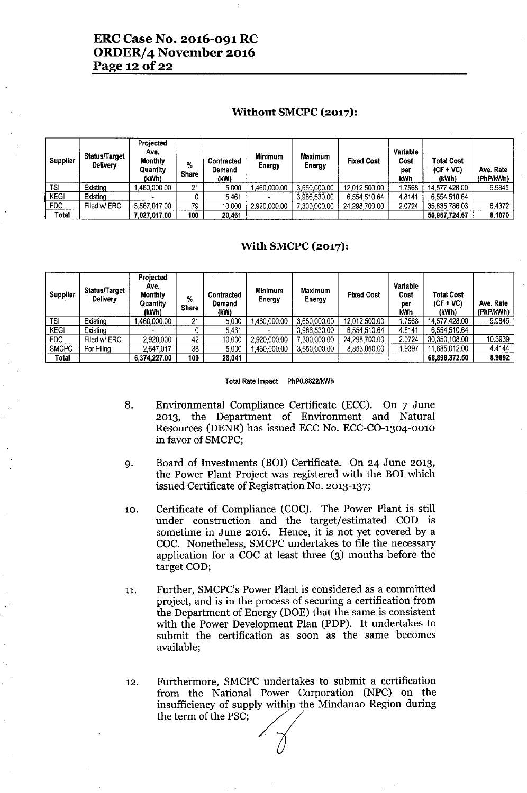# **ERC Case No. 2016-091 RC ORDER/4 November 2016 Page 120f22**

### **Without SMCPC (2017):**

| <b>Supplier</b> | Status/Target<br>Deliverv | Projected<br>Ave.<br><b>Monthly</b><br>Quantity<br>(kWh) | %<br><b>Share</b> | <b>Contracted</b><br>Demand<br>(kW) | Minimum<br>Energy | <b>Maximum</b><br><b>Energy</b> | <b>Fixed Cost</b> | Variable<br>Cost<br>per<br>kWh | Total Cost<br>$(CF + VC)$<br>(kWh) | Ave. Rate<br>(PhP/kWh) |
|-----------------|---------------------------|----------------------------------------------------------|-------------------|-------------------------------------|-------------------|---------------------------------|-------------------|--------------------------------|------------------------------------|------------------------|
| TSI             | Existing                  | .460.000.00                                              | 21                | 5.000                               | .460.000.00       | 3,650,000.00                    | 12,012,500.00     | .7568                          | 14.577.428.00                      | 9.9845                 |
| <b>KEGI</b>     | Existing                  |                                                          |                   | 5.461                               |                   | 3,986,530.00                    | 6.554.510.64      | 4.8141                         | 6.554.510.64                       |                        |
| FDC             | Filed w/ ERC              | 5.567.017.00                                             | 79                | 10,000                              | 2,920,000.00      | 7.300.000.00                    | 24,298,700.00     | 2.0724                         | 35,835,786.03                      | 6.4372                 |
| <b>Total</b>    |                           | 7,027,017.00                                             | 100               | 20.461                              |                   |                                 |                   |                                | 56.967.724.67                      | 8.1070                 |

### **With SMCPC (2017):**

| <b>Supplier</b> | Status/Target<br><b>Delivery</b> | Projected<br>Ave.<br><b>Monthly</b><br>Quantity<br>(kWh) | %<br><b>Share</b> | Contracted<br>Demand<br>(kW) | <b>Minimum</b><br>Energy | Maximum<br>Energy | <b>Fixed Cost</b> | Variable<br>Cost<br>per<br>kWh | <b>Total Cost</b><br>$(CF + VC)$<br>(kWh) | Ave. Rate<br>(PhP/kWh) |
|-----------------|----------------------------------|----------------------------------------------------------|-------------------|------------------------------|--------------------------|-------------------|-------------------|--------------------------------|-------------------------------------------|------------------------|
| TSI             | Existing                         | 460,000.00                                               | 21                | 5,000                        | 460,000.00               | 3,650,000.00      | 12,012,500.00     | 17568                          | 14 577 428 00                             | 9.9845                 |
| <b>KEGI</b>     | Existing                         |                                                          |                   | 5.461                        |                          | 3.986,530.00      | 6.554.510.64      | 48141                          | 6,554,510.64                              |                        |
| FDC             | Filed w/ ERC                     | 2.920,000                                                | 42                | 10,000                       | 2,920,000.00             | 7,300,000.00      | 24.298.700.00     | 2.0724                         | 30,350,108.00                             | 10.3939                |
| <b>SMCPC</b>    | For Filing                       | 2,647,017                                                | 38                | 5,000                        | ,460,000.00              | 3.650.000.00      | 8,853,050.00      | 1.9397                         | 11,685,012.00                             | 4.4144                 |
| Total           |                                  | 6.374.227.00                                             | 100               | 28,041                       |                          |                   |                   |                                | 68,898,372.50                             | 8.9892                 |

#### Total Rate Impact PhPO.8822/kWh

- 8. Environmental Compliance Certificate (ECC). On 7 June 2013, the Department of Environment and Natural Resources (DENR) has issued ECC No. ECC-CO-1304-0010 in favor of SMCPC;
- 9. Board of Investments (BOI) Certificate. On 24 June 2013, the Power Plant Project was registered with the BOI which issued Certificate of Registration No. 2013-137;
- 10. Certificate of Compliance (COC). The Power Plant is still under construction and the target/estimated COD is sometime in June 2016. Hence, it is not yet covered by a COC. Nonetheless, SMCPC undertakes to file the necessary application for a COC at least three (3) months before the target COD;
- 11. Further, SMCPC's Power Plant is considered as a committed project, and is in the process of securing a certification from the Department of Energy (DOE) that the same is consistent with the Power Development Plan (PDP). It undertakes to submit the certification as soon as the same becomes available;
- 12. Furthermore, SMCPC undertakes to submit a certification from the National Power Corporation (NPC) on the insufficiency of supply within the Mindanao Region during the term of the PSC;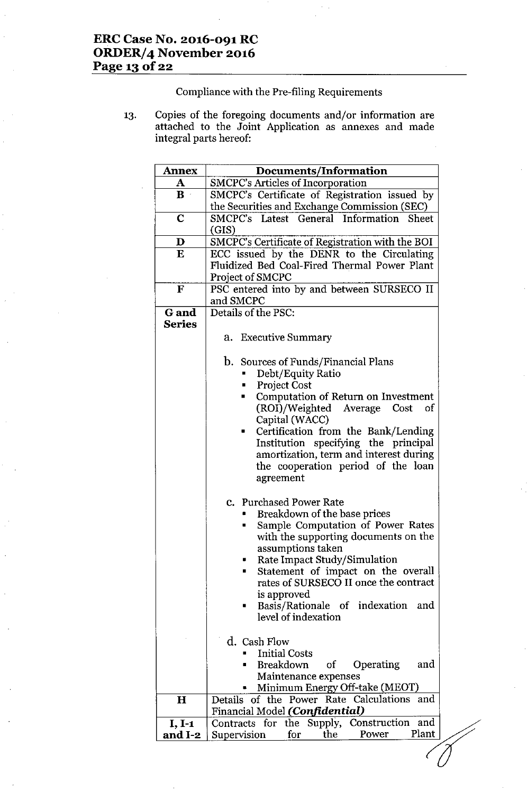Compliance with the Pre-filing Requirements

13. Copies of the foregoing documents and/or information are attached to the Joint Application as annexes and made integral parts hereof:

| <b>Annex</b>  | Documents/Information                                    |
|---------------|----------------------------------------------------------|
| A             | <b>SMCPC's Articles of Incorporation</b>                 |
| $\mathbf{B}$  | SMCPC's Certificate of Registration issued by            |
|               | the Securities and Exchange Commission (SEC)             |
| $\mathbf C$   | SMCPC's Latest General Information<br>Sheet              |
|               | (GIS)                                                    |
| D             | SMCPC's Certificate of Registration with the BOI         |
| E             | ECC issued by the DENR to the Circulating                |
|               | Fluidized Bed Coal-Fired Thermal Power Plant             |
|               | Project of SMCPC                                         |
| F             | PSC entered into by and between SURSECO II               |
|               | and SMCPC                                                |
| <b>G</b> and  | Details of the PSC:                                      |
| <b>Series</b> |                                                          |
|               | a. Executive Summary                                     |
|               |                                                          |
|               | <b>b.</b> Sources of Funds/Financial Plans               |
|               | Debt/Equity Ratio                                        |
|               | <b>Project Cost</b>                                      |
|               | Computation of Return on Investment<br>٠                 |
|               | (ROI)/Weighted Average<br>Cost<br>of                     |
|               | Capital (WACC)                                           |
|               | Certification from the Bank/Lending<br>$\blacksquare$    |
|               | Institution specifying the principal                     |
|               | amortization, term and interest during                   |
|               | the cooperation period of the loan                       |
|               | agreement                                                |
|               |                                                          |
|               | <b>c.</b> Purchased Power Rate                           |
|               | Breakdown of the base prices                             |
|               | Sample Computation of Power Rates                        |
|               | with the supporting documents on the                     |
|               | assumptions taken                                        |
|               | Rate Impact Study/Simulation                             |
|               | Statement of impact on the overall<br>п                  |
|               | rates of SURSECO II once the contract                    |
|               | is approved<br>Basis/Rationale of indexation<br>and<br>٠ |
|               | level of indexation                                      |
|               |                                                          |
|               | d. Cash Flow                                             |
|               | <b>Initial Costs</b>                                     |
|               | <b>Breakdown</b><br>Operating<br>of<br>and               |
|               | Maintenance expenses                                     |
|               | Minimum Energy Off-take (MEOT)                           |
| $\mathbf H$   | Details of the Power Rate Calculations<br>and            |
|               | Financial Model (Confidential)                           |
| $I, I-1$      | Contracts for the Supply, Construction<br>and            |
| and I-2       | Plant<br>Power<br>the<br>Supervision<br>for              |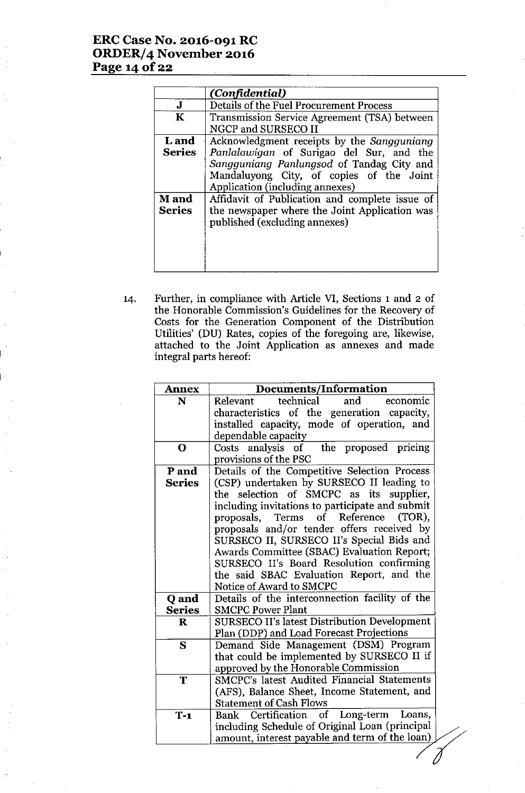# **ERCCase No. 2016-091 RC ORDER/4 November 2016 Page 140f22**

|                               | (Confidential)                                                                                                                                                                                                     |
|-------------------------------|--------------------------------------------------------------------------------------------------------------------------------------------------------------------------------------------------------------------|
| J                             | Details of the Fuel Procurement Process                                                                                                                                                                            |
| $\mathbf K$                   | Transmission Service Agreement (TSA) between<br>NGCP and SURSECO II                                                                                                                                                |
| <b>L</b> and<br><b>Series</b> | Acknowledgment receipts by the Sangguniang<br>Panlalawigan of Surigao del Sur, and the<br>Sangguniang Panlungsod of Tandag City and<br>Mandaluyong City, of copies of the Joint<br>Application (including annexes) |
| <b>M</b> and<br><b>Series</b> | Affidavit of Publication and complete issue of<br>the newspaper where the Joint Application was<br>published (excluding annexes)                                                                                   |

14. Further, in compliance with Article VI, Sections 1 and 2 of the Honorable Commission's Guidelines for the Recovery of Costs for the Generation Component of the Distribution Utilities' (DU) Rates, copies of the foregoing are, likewise, attached to the Joint Application as annexes and made integral parts hereof:

|               | Documents/Information                                              |
|---------------|--------------------------------------------------------------------|
| N             | technical<br>and<br>economic<br>Relevant                           |
|               | characteristics of the generation capacity,                        |
|               | installed capacity, mode of operation, and                         |
|               | dependable capacity                                                |
| $\mathbf 0$   | the proposed pricing<br>Costs analysis of<br>provisions of the PSC |
| P and         | Details of the Competitive Selection Process                       |
| <b>Series</b> | (CSP) undertaken by SURSECO II leading to                          |
|               | the selection of SMCPC as its supplier,                            |
|               | including invitations to participate and submit                    |
|               | Reference<br>proposals.<br><b>Terms</b><br>of<br>$(TOR)$ ,         |
|               | proposals and/or tender offers received by                         |
|               | SURSECO II, SURSECO II's Special Bids and                          |
|               | Awards Committee (SBAC) Evaluation Report;                         |
|               | SURSECO II's Board Resolution confirming                           |
|               | the said SBAC Evaluation Report, and the                           |
|               | Notice of Award to SMCPC                                           |
| Q and         | Details of the interconnection facility of the                     |
| <b>Series</b> | <b>SMCPC Power Plant</b>                                           |
| $\bf R$       | <b>SURSECO II's latest Distribution Development</b>                |
|               | Plan (DDP) and Load Forecast Projections                           |
| S             | Demand Side Management (DSM) Program                               |
|               | that could be implemented by SURSECO II if                         |
|               | approved by the Honorable Commission                               |
| T             | <b>SMCPC's latest Audited Financial Statements</b>                 |
|               | (AFS), Balance Sheet, Income Statement, and                        |
|               | <b>Statement of Cash Flows</b>                                     |
| $T-1$         | Bank Certification of Long-term<br>Loans,                          |
|               | including Schedule of Original Loan (principal                     |
|               | amount, interest payable and term of the loan)                     |
|               |                                                                    |
|               |                                                                    |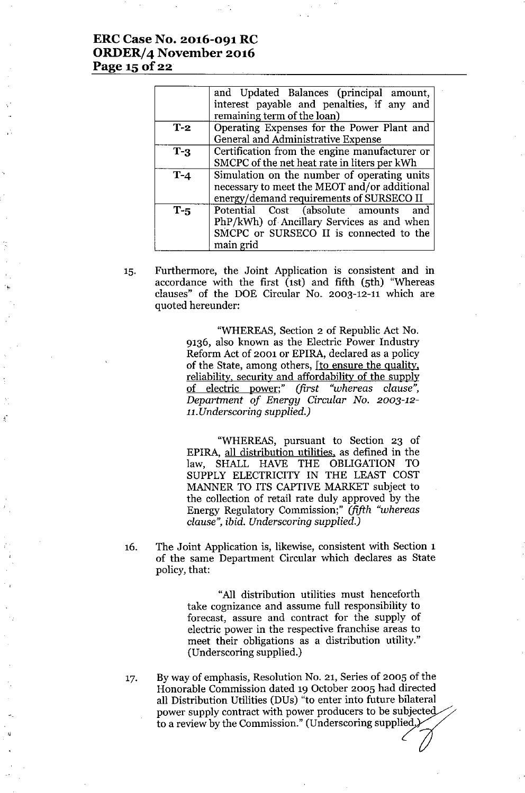# **ERC Case No. 2016-091 RC ORDER/4 November 2016 Page 15 Of22**

,-

|         | and Updated Balances (principal amount,<br>interest payable and penalties, if any and<br>remaining term of the loan)                          |
|---------|-----------------------------------------------------------------------------------------------------------------------------------------------|
| $T-2$   | Operating Expenses for the Power Plant and<br>General and Administrative Expense                                                              |
| $T-3$   | Certification from the engine manufacturer or<br>SMCPC of the net heat rate in liters per kWh                                                 |
| $T - 4$ | Simulation on the number of operating units<br>necessary to meet the MEOT and/or additional<br>energy/demand requirements of SURSECO II       |
| $T-5$   | Potential Cost (absolute amounts<br>and<br>PhP/kWh) of Ancillary Services as and when<br>SMCPC or SURSECO II is connected to the<br>main grid |

15. Furthermore, the Joint Application is consistent and in accordance with the first (1st) and fifth (5th) "Whereas clauses" of the DOE Circular No. 2003-12-11 which are quoted hereunder:

> "WHEREAS, Section 2 of Republic Act No. 9136, also known as the Electric Power Industry Reform Act of 2001 or EPIRA, declared as a policy of the State, among others, [to ensure the quality, reliability, security and affordability of the supply of electric power;" *(first "whereas clause", Department of Energy Circular No. 2003-12- 1l.Underscoring supplied.)*

> "WHEREAS, pursuant to Section 23 of EPIRA, all distribution utilities, as defined in the law, SHALL HAVE THE OBLIGATION TO SUPPLY ELECTRICITY IN THE LEAST COST MANNER TO ITS CAPTIVE MARKET subject to the collection of retail rate duly approved by the Energy Regulatory Commission;" *(fifth "whereas clause", ibid. Underscoring supplied.)*

16. The Joint Application is, likewise, consistent with Section 1 of the same Department Circular which declares as State policy, that:

> "All distribution utilities must henceforth take cognizance and assume full responsibility to forecast, assure and contract for the supply of electric power in the respective franchise areas to meet their obligations as a distribution utility." (Underscoring supplied.)

17. By way of emphasis, Resolution No. 21, Series of 2005 of the Honorable Commission dated 19 October 2005 had directed all Distribution Utilities (DUs) "to enter into future bilateral power supply contract with power producers to be subject all Distribution Utilities (DUs) "to enter into future bilateral<br>power supply contract with power producers to be subjected<br>to a review by the Commission." (Underscoring supplied.)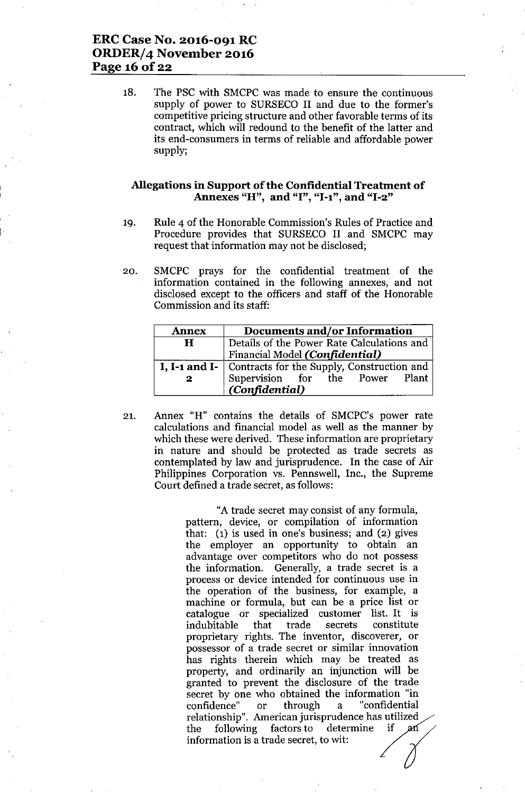# ERC Case No. 2016-091 RC ORDER/4 November 2016 Page 16 of 22

18. The PSC with SMCPC was made to ensure the continuous supply of power to SURSECO II and due to the former's competitive pricing structure and other favorable terms of its contract, which will redound to the benefit of the latter and its end-consumers in terms of reliable and affordable power supply;

#### Allegations in Support of the Confidential Treatment of Annexes "H", and "I", "I-1", and "I-2"

- 19. Rule 4 of the Honorable Commission's Rules of Practice and Procedure provides that SURSECO II and SMCPC may request that information may not be disclosed;
- 20. SMCPC prays for the confidential treatment of the information contained in the following annexes, and not disclosed except to the officers and staff of the Honorable Commission and its staff:

| <b>Annex</b> | Documents and/or Information                                                 |
|--------------|------------------------------------------------------------------------------|
| H            | Details of the Power Rate Calculations and<br>Financial Model (Confidential) |
|              |                                                                              |
|              | I, I-1 and I-   Contracts for the Supply, Construction and                   |
| $\mathbf{2}$ | Supervision for the Power Plant<br>(Confidential)                            |

21. Annex "H" contains the details of SMCPC's power rate calculations and financial model as well as the manner by which these were derived. These information are proprietary in nature and should be protected as trade secrets as contemplated by law and jurisprudence. In the case of Air Philippines Corporation vs. Pennswell, Inc., the Supreme Court defined a trade secret, as follows:

> "A trade secret may consist of any formula, pattern, device, or compilation of information that: (1) is used in one's business; and (2) gives the employer an opportunity to obtain an advantage over competitors who do not possess the information. Generally, a trade secret is a process or device intended for continuous use in the operation of the business, for example, a machine or formula, but can be a price list or catalogue or specialized customer list. It is indubitable that trade secrets constitute proprietary rights. The inventor, discoverer, or possessor of a trade secret or similar innovation has rights therein which may be treated as property, and ordinarily an injunction will be granted to prevent the disclosure of the trade secret by one who obtained the information "in confidence" or through a "confidential relationship". American jurisprudence has utilized<br>the following factors to determine if an granted to prevent the disclosure of the trade<br>secret by one who obtained the information "in<br>confidence" or through a "confidential<br>relationship". American jurisprudence has utilized<br>the following factors to determine if information is a trade secret, to wit: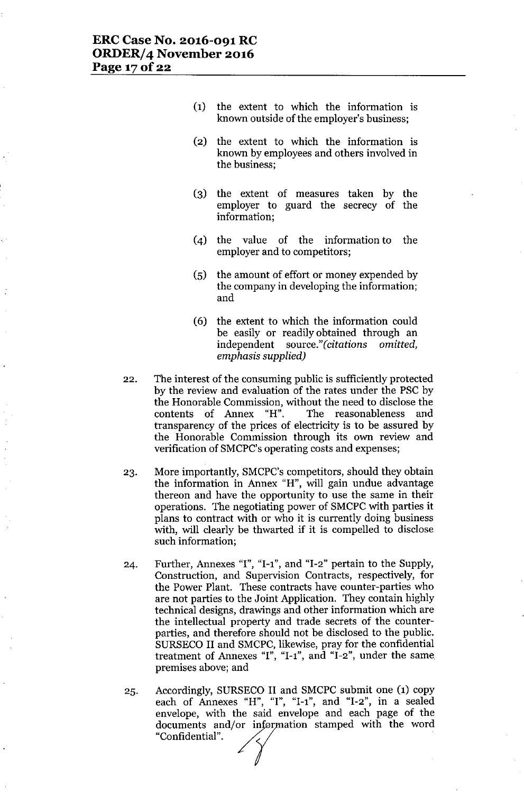- (1) the extent to which the information is known outside of the employer's business;
- (2) the extent to which the information is known by employees and others involved in the business;
- (3) the extent of measures taken by the employer to guard the secrecy of the information;
- (4) the value of the information to the employer and to competitors;
- (5) the amount of effort or money expended by the company in developing the information; and
- (6) the extent to which the information could be easily or readily obtained through an independent source." *(citations omitted, emphasis supplied)*
- 22. The interest of the consuming public is sufficiently protected by the review and evaluation of the rates under the PSC by the Honorable Commission, without the need to disclose the contents of Annex "H". The reasonableness and transparency of the prices of electricity is to be assured by the Honorable Commission through its own review and verification of SMCPC's operating costs and expenses;
- 23. More importantly, SMCPC's competitors, should they obtain the information in Annex "H", will gain undue advantage thereon and have the opportunity to use the same in their operations. The negotiating power of SMCPC with parties it plans to contract with or who it is currently doing business with, will clearly be thwarted if it is compelled to disclose such information;
- 24. Further, Annexes "I", "I-I", and "1-2" pertain to the Supply, Construction, and Supervision Contracts, respectively, for the Power Plant. These contracts have counter-parties who are not parties to the Joint Application. They contain highly technical designs, drawings and other information which are the intellectual property and trade secrets of the counterparties, and therefore should not be disclosed to the public. SURSECO II and SMCPC, likewise, pray for the confidential treatment of Annexes "I", "1-1", and "1-2", under the same, premises above; and
- 25. Accordingly, SURSECO II and SMCPC submit one (1) copy each of Annexes "H", "I", "I-1", and "I-2", in a sealed envelope, with the said envelope and each page of the documents and/or information stamped with the word "Confidential". documents and/or information stamped with the word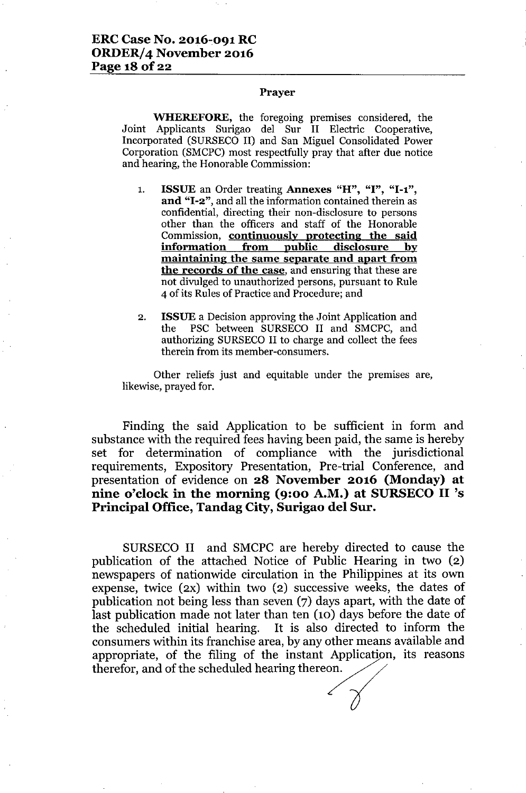### Prayer

WHEREFORE, the foregoing premises considered, the Joint Applicants Surigao del Sur II Electric Cooperative, Incorporated (SURSECO II) and San Miguel Consolidated Power Corporation (SMCPC) most respectfully pray that after due notice and hearing, the Honorable Commission:

- 1. ISSUE an Order treating Annexes "H", "I", "1-1", and "I-2", and all the information contained therein as confidential, directing their non-disclosure to persons other than the officers and staff of the Honorable Commission, continuously protecting the said information from public disclosure by maintaining the same separate and apart from the records of the case, and ensuring that these are not divulged to unauthorized persons, pursuant to Rule 4 of its Rules of Practice and Procedure; and
- 2. ISSUEa Decision approving the Joint Application and the PSC between SURSECO II and SMCPC, and authorizing SURSECO II to charge and collect the fees therein from its member-consumers.

Other reliefs just and equitable under the premises are, likewise, prayed for.

Finding the said Application to be sufficient in form and substance with the required fees having been paid, the same is hereby set for determination of compliance with the jurisdictional requirements, Expository Presentation, Pre-trial Conference, and presentation of evidence on 28 November 2016 (Monday) at nine o'clock in the morning (9:00 A.M.) at SURSECO II 's Principal Office, Tandag City, Surigao del Sur.

SURSECO II and SMCPC are hereby directed to cause the publication of the attached Notice of Public Hearing in two (2) newspapers of nationwide circulation in the Philippines at its own expense, twice (2X) within two (2) successive weeks, the dates of publication not being less than seven (7) days apart, with the date of last publication made not later than ten (10) days before the date of the scheduled initial hearing. It is also directed to inform the consumers within its franchise area, by any other means available and appropriate, of the filing of the instant Application, its reasons therefor, and of the scheduled hearing thereon.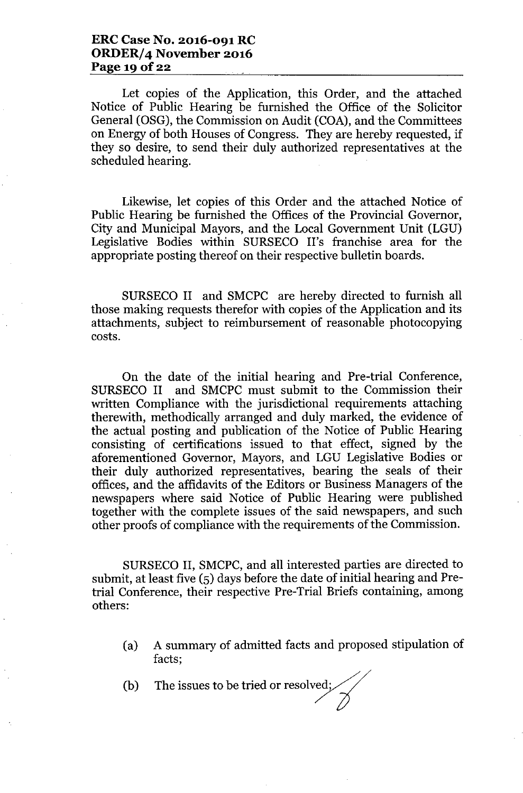Let copies of the Application, this Order, and the attached Notice of Public Hearing be furnished the Office of the Solicitor General (OSG), the Commission on Audit (COA), and the Committees on Energy of both Houses of Congress. They are hereby requested, if they so desire, to send their duly authorized representatives at the scheduled hearing.

Likewise, let copies of this Order and the attached Notice of Public Hearing be furnished the Offices of the Provincial Governor, City and Municipal Mayors, and the Local Government Unit (LGU) Legislative Bodies within SURSECO II's franchise area for the appropriate posting thereof on their respective bulletin boards.

SURSECO II and SMCPC are hereby directed to furnish all those making requests therefor with copies of the Application and its attachments, subject to reimbursement of reasonable photocopying costs.

On the date of the initial hearing and Pre-trial Conference, SURSECO II and SMCPC must submit to the Commission their written Compliance with the jurisdictional requirements attaching therewith, methodically arranged and duly marked, the evidence of the actual posting and publication of the Notice of Public Hearing consisting of certifications issued to that effect, signed by the aforementioned Governor, Mayors, and LGU Legislative Bodies or their duly authorized representatives, bearing the seals of their offices, and the affidavits of the Editors or Business Managers of the newspapers where said Notice of Public Hearing were published together with the complete issues of the said newspapers, and such other proofs of compliance with the requirements of the Commission.

SURSECO II, SMCPC, and all interested parties are directed to submit, at least five (5) days before the date of initial hearing and Pretrial Conference, their respective Pre-Trial Briefs containing, among others:

- (a) A summary of admitted facts and proposed stipulation of facts;
- (b) The issues to be tried or resolved;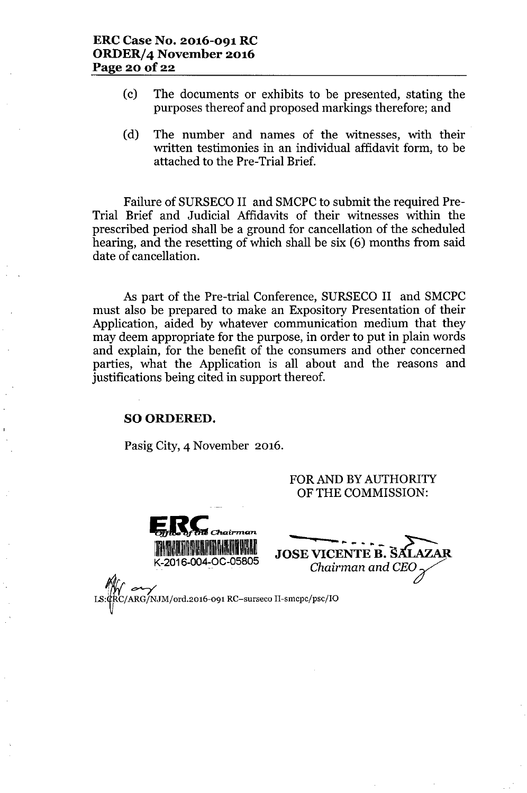- (c) The documents or exhibits to be presented, stating the purposes thereof and proposed markings therefore; and
- (d) The number and names of the witnesses, with their written testimonies in an individual affidavit form, to be attached to the Pre-Trial Brief.

Failure of SURSECO II and SMCPC to submit the required Pre-Trial Brief and Judicial Affidavits of their witnesses within the prescribed period shall be a ground for cancellation of the scheduled hearing, and the resetting of which shall be six (6) months from said date of cancellation.

As part of the Pre-trial Conference, SURSECO II and SMCPC must also be prepared to make an Expository Presentation of their Application, aided by whatever communication medium that they may deem appropriate for the purpose, in order to put in plain words and explain, for the benefit of the consumers and other concerned parties, what the Application is all about and the reasons and justifications being cited in support thereof.

### SO ORDERED.

Pasig City, 4 November 2016.

FOR AND BY AUTHORITY OF THE COMMISSION:

**U**<br>**U C**<br>The of the Chairman K-2016-004-0C-05805

 $\frac{1}{2000}$ *Chairman and CEO* 

*1fIIr--7 LS:~RC/ARG/NJM/ord.2016-091* RC-surseco *II-smcpc/psc/IO*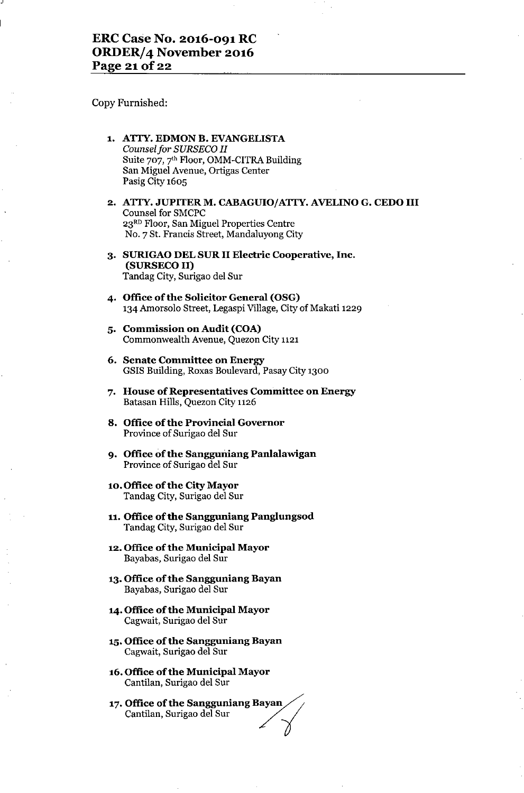Copy Furnished:

-'

- 1. ATTY. EDMON B. EVANGELISTA *Counsel for SURSECO II* Suite 707, 7'h Floor, OMM-CITRA Building San Miguel Avenue, Ortigas Center Pasig City 1605
- 2. ATTY. JUPITER M. CABAGUIO/ATTY. AVELINO G. CEDO III Counsel for SMCPC 23RD Floor, San Miguel Properties Centre NO.7 St. Francis Street, Mandaluyong City
- 3. SURIGAO DEL SUR II Electric Cooperative, Inc. (SURSECO II) Tandag City, Surigao del Sur
- 4. Office of the Solicitor General (OSG) 134 Amorsolo Street, Legaspi Village, City of Makati 1229
- 5. Commission on Audit (COA) Commonwealth Avenue, Quezon City 1121
- 6. Senate Committee on Energy GSIS Building, Roxas Boulevard, Pasay City 1300
- 7. House of Representatives Committee on Energy Batasan Hills, Quezon City 1126
- 8. Office of the Provincial Governor Province of Surigao del Sur
- 9. Office of the Sangguniang Panlalawigan Province of Surigao del Sur
- 10.Office of the City Mayor Tandag City, Surigao del Sur
- 11. Office of the Sangguniang Panglungsod Tandag City, Surigao del Sur
- 12. Office of the Municipal Mayor Bayabas, Surigao del Sur
- 13. Office of the Sangguniang Bayan Bayabas, Surigao del Sur
- 14. Office of the Municipal Mayor Cagwait, Surigao del Sur
- 15.Office of the Sangguniang Bayan Cagwait, Surigao del Sur
- 16. Office of the Municipal Mayor Cantilan, Surigao del Sur
- 17. Office of the Sangguniang Bayan **Office of the Municipal Mayor**<br>Cantilan, Surigao del Sur<br>**Office of the Sangguniang Bayan**<br>Cantilan, Surigao del Sur